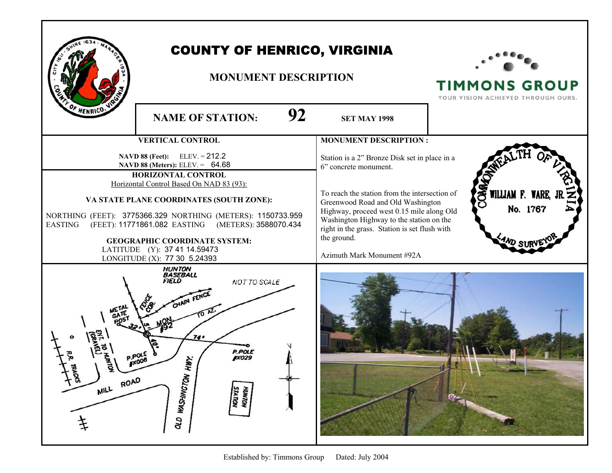| F HENRICO.       | <b>COUNTY OF HENRICO, VIRGINIA</b><br><b>MONUMENT DESCRIPTION</b><br>92<br><b>NAME OF STATION:</b><br><b>SET MAY 1998</b>                                                                                                                                                                                                                                                                                            |                                                                                                                                                                                                                                                                                                                                                     | <b>TIMMONS GROUP</b><br>YOUR VISION ACHIEVED THROUGH OURS. |
|------------------|----------------------------------------------------------------------------------------------------------------------------------------------------------------------------------------------------------------------------------------------------------------------------------------------------------------------------------------------------------------------------------------------------------------------|-----------------------------------------------------------------------------------------------------------------------------------------------------------------------------------------------------------------------------------------------------------------------------------------------------------------------------------------------------|------------------------------------------------------------|
|                  | <b>VERTICAL CONTROL</b>                                                                                                                                                                                                                                                                                                                                                                                              | <b>MONUMENT DESCRIPTION:</b>                                                                                                                                                                                                                                                                                                                        |                                                            |
| <b>EASTING</b>   | <b>NAVD 88 (Feet):</b> ELEV. = $212.2$<br>NAVD 88 (Meters): ELEV. = 64.68<br>HORIZONTAL CONTROL<br>Horizontal Control Based On NAD 83 (93):<br>VA STATE PLANE COORDINATES (SOUTH ZONE):<br>NORTHING (FEET): 3775366.329 NORTHING (METERS): 1150733.959<br>(FEET): 11771861.082 EASTING (METERS): 3588070.434<br><b>GEOGRAPHIC COORDINATE SYSTEM:</b><br>LATITUDE (Y): 37 41 14.59473<br>LONGITUDE (X): 77 30 5.24393 | Station is a 2" Bronze Disk set in place in a<br>6" concrete monument.<br>To reach the station from the intersection of<br>Greenwood Road and Old Washington<br>Highway, proceed west 0.15 mile along Old<br>Washington Highway to the station on the<br>right in the grass. Station is set flush with<br>the ground.<br>Azimuth Mark Monument #92A | <b>SS</b><br>WILLIAM F. WARE,<br>No. 1767                  |
| λg.<br>MILL ROAD | <b>HUNTON</b><br><b>BASEBALL</b><br>FIELD<br>NOT TO SCALE<br>CHAIN FEI<br>74 .<br><b>P.POLE</b><br>IX029<br>HИY.<br>OLD WASHINGTON<br><b>HUNTON</b><br>STATION                                                                                                                                                                                                                                                       |                                                                                                                                                                                                                                                                                                                                                     |                                                            |